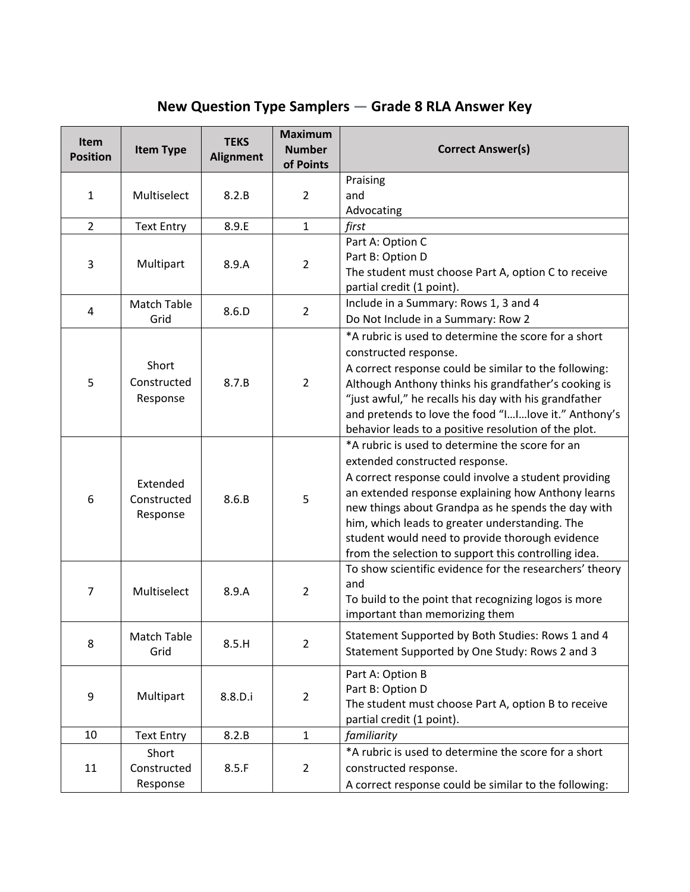## **New Question Type Samplers — Grade 8 RLA Answer Key**

| <b>Item</b><br><b>Position</b> | <b>Item Type</b>                    | <b>TEKS</b><br><b>Alignment</b> | <b>Maximum</b><br><b>Number</b><br>of Points | <b>Correct Answer(s)</b>                                                                                     |
|--------------------------------|-------------------------------------|---------------------------------|----------------------------------------------|--------------------------------------------------------------------------------------------------------------|
|                                |                                     |                                 |                                              | Praising                                                                                                     |
| $\mathbf{1}$                   | Multiselect                         | 8.2.B                           | $\overline{2}$                               | and                                                                                                          |
| $\overline{2}$                 | <b>Text Entry</b>                   | 8.9.E                           | $\mathbf{1}$                                 | Advocating<br>first                                                                                          |
|                                |                                     |                                 |                                              | Part A: Option C                                                                                             |
| 3                              | Multipart                           | 8.9.A                           | $\overline{2}$                               | Part B: Option D                                                                                             |
|                                |                                     |                                 |                                              | The student must choose Part A, option C to receive                                                          |
|                                |                                     |                                 |                                              | partial credit (1 point).                                                                                    |
| 4                              | Match Table<br>Grid                 | 8.6.D                           | $\overline{2}$                               | Include in a Summary: Rows 1, 3 and 4<br>Do Not Include in a Summary: Row 2                                  |
|                                |                                     |                                 |                                              | *A rubric is used to determine the score for a short                                                         |
|                                | Short                               |                                 |                                              | constructed response.                                                                                        |
|                                |                                     |                                 |                                              | A correct response could be similar to the following:                                                        |
| 5                              | Constructed                         | 8.7.B                           | $\overline{2}$                               | Although Anthony thinks his grandfather's cooking is                                                         |
|                                | Response                            |                                 |                                              | "just awful," he recalls his day with his grandfather                                                        |
|                                |                                     |                                 |                                              | and pretends to love the food "IIIove it." Anthony's<br>behavior leads to a positive resolution of the plot. |
|                                | Extended<br>Constructed<br>Response | 8.6.B                           | 5                                            | *A rubric is used to determine the score for an                                                              |
|                                |                                     |                                 |                                              | extended constructed response.                                                                               |
| 6                              |                                     |                                 |                                              | A correct response could involve a student providing                                                         |
|                                |                                     |                                 |                                              | an extended response explaining how Anthony learns                                                           |
|                                |                                     |                                 |                                              | new things about Grandpa as he spends the day with                                                           |
|                                |                                     |                                 |                                              | him, which leads to greater understanding. The<br>student would need to provide thorough evidence            |
|                                |                                     |                                 |                                              | from the selection to support this controlling idea.                                                         |
|                                |                                     |                                 |                                              | To show scientific evidence for the researchers' theory                                                      |
| $\overline{7}$                 | Multiselect                         | 8.9.A                           | $\overline{2}$                               | and                                                                                                          |
|                                |                                     |                                 |                                              | To build to the point that recognizing logos is more<br>important than memorizing them                       |
|                                |                                     |                                 |                                              | Statement Supported by Both Studies: Rows 1 and 4                                                            |
| 8                              | Match Table<br>Grid                 | 8.5.H                           | $\overline{2}$                               | Statement Supported by One Study: Rows 2 and 3                                                               |
|                                |                                     |                                 |                                              |                                                                                                              |
|                                |                                     |                                 |                                              | Part A: Option B<br>Part B: Option D                                                                         |
| 9                              | Multipart                           | 8.8.D.i                         | $\overline{2}$                               | The student must choose Part A, option B to receive                                                          |
|                                |                                     |                                 |                                              | partial credit (1 point).                                                                                    |
| 10                             | <b>Text Entry</b>                   | 8.2.B                           | $\mathbf{1}$                                 | familiarity                                                                                                  |
|                                | Short                               |                                 |                                              | *A rubric is used to determine the score for a short                                                         |
| 11                             | Constructed                         | 8.5.F                           | $\overline{2}$                               | constructed response.                                                                                        |
|                                | Response                            |                                 |                                              | A correct response could be similar to the following:                                                        |